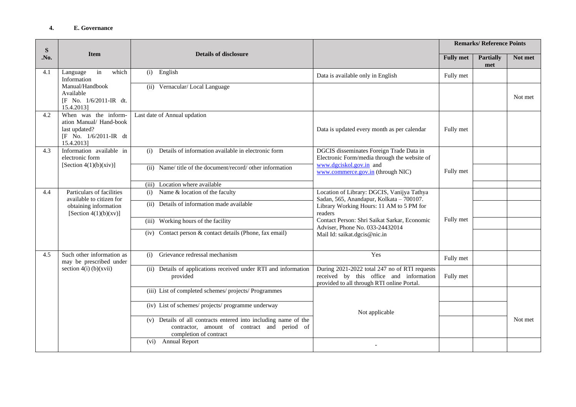| ${\bf S}$<br>.No. | <b>Item</b>                                                                                                    | <b>Details of disclosure</b>                                                                                                              |                                                                                                                                                                                                                                                                  | <b>Remarks/Reference Points</b> |                         |         |
|-------------------|----------------------------------------------------------------------------------------------------------------|-------------------------------------------------------------------------------------------------------------------------------------------|------------------------------------------------------------------------------------------------------------------------------------------------------------------------------------------------------------------------------------------------------------------|---------------------------------|-------------------------|---------|
|                   |                                                                                                                |                                                                                                                                           |                                                                                                                                                                                                                                                                  | <b>Fully</b> met                | <b>Partially</b><br>met | Not met |
| 4.1               | in<br>which<br>Language<br>Information<br>Manual/Handbook<br>Available<br>[F No. 1/6/2011-IR dt.<br>15.4.2013] | English<br>(i)                                                                                                                            | Data is available only in English                                                                                                                                                                                                                                | Fully met                       |                         |         |
|                   |                                                                                                                | (ii) Vernacular/Local Language                                                                                                            |                                                                                                                                                                                                                                                                  |                                 |                         | Not met |
| 4.2               | When was the inform-<br>ation Manual/ Hand-book<br>last updated?<br>[F No. 1/6/2011-IR dt<br>15.4.2013]        | Last date of Annual updation                                                                                                              | Data is updated every month as per calendar                                                                                                                                                                                                                      | Fully met                       |                         |         |
| 4.3               | Information available in<br>electronic form<br>[Section $4(1)(b)(xiv)$ ]                                       | Details of information available in electronic form<br>(i)                                                                                | DGCIS disseminates Foreign Trade Data in<br>Electronic Form/media through the website of<br>www.dgciskol.gov.in and<br>www.commerce.gov.in (through NIC)                                                                                                         |                                 |                         |         |
|                   |                                                                                                                | (ii) Name/title of the document/record/other information                                                                                  |                                                                                                                                                                                                                                                                  | Fully met                       |                         |         |
|                   |                                                                                                                | (iii) Location where available                                                                                                            |                                                                                                                                                                                                                                                                  |                                 |                         |         |
| 4.4               | Particulars of facilities<br>available to citizen for<br>obtaining information<br>[Section $4(1)(b)(xy)$ ]     | (i) Name & location of the faculty                                                                                                        | Location of Library: DGCIS, Vanijya Tathya<br>Sadan, 565, Anandapur, Kolkata - 700107.<br>Library Working Hours: 11 AM to 5 PM for<br>readers<br>Contact Person: Shri Saikat Sarkar, Economic<br>Adviser, Phone No. 033-24432014<br>Mail Id: saikat.dgcis@nic.in |                                 |                         |         |
|                   |                                                                                                                | (ii) Details of information made available                                                                                                |                                                                                                                                                                                                                                                                  |                                 |                         |         |
|                   |                                                                                                                | (iii) Working hours of the facility                                                                                                       |                                                                                                                                                                                                                                                                  | Fully met                       |                         |         |
|                   |                                                                                                                | (iv) Contact person & contact details (Phone, fax email)                                                                                  |                                                                                                                                                                                                                                                                  |                                 |                         |         |
| 4.5               | Such other information as<br>may be prescribed under<br>section $4(i)$ (b)(xvii)                               | (i)<br>Grievance redressal mechanism                                                                                                      | Yes                                                                                                                                                                                                                                                              | Fully met                       |                         |         |
|                   |                                                                                                                | (ii) Details of applications received under RTI and information<br>provided                                                               | During 2021-2022 total 247 no of RTI requests<br>received by this office and information<br>provided to all through RTI online Portal.                                                                                                                           | Fully met                       |                         |         |
|                   |                                                                                                                | (iii) List of completed schemes/ projects/ Programmes                                                                                     | Not applicable                                                                                                                                                                                                                                                   |                                 |                         |         |
|                   |                                                                                                                | (iv) List of schemes/ projects/ programme underway                                                                                        |                                                                                                                                                                                                                                                                  |                                 |                         |         |
|                   |                                                                                                                | (v) Details of all contracts entered into including name of the<br>contractor, amount of contract and period of<br>completion of contract |                                                                                                                                                                                                                                                                  |                                 |                         | Not met |
|                   |                                                                                                                | (vi) Annual Report                                                                                                                        |                                                                                                                                                                                                                                                                  |                                 |                         |         |